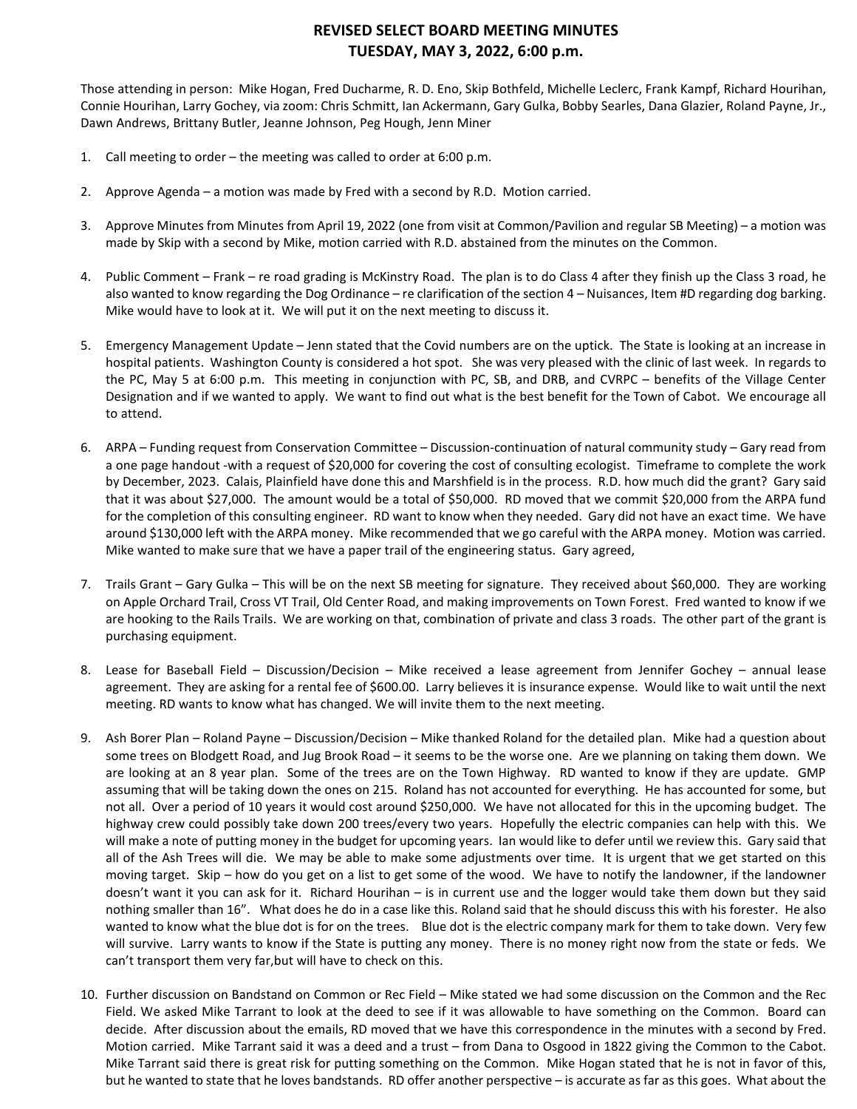# **REVISED SELECT BOARD MEETING MINUTES TUESDAY, MAY 3, 2022, 6:00 p.m.**

Those attending in person: Mike Hogan, Fred Ducharme, R. D. Eno, Skip Bothfeld, Michelle Leclerc, Frank Kampf, Richard Hourihan, Connie Hourihan, Larry Gochey, via zoom: Chris Schmitt, Ian Ackermann, Gary Gulka, Bobby Searles, Dana Glazier, Roland Payne, Jr., Dawn Andrews, Brittany Butler, Jeanne Johnson, Peg Hough, Jenn Miner

- 1. Call meeting to order the meeting was called to order at 6:00 p.m.
- 2. Approve Agenda a motion was made by Fred with a second by R.D. Motion carried.
- 3. Approve Minutes from Minutes from April 19, 2022 (one from visit at Common/Pavilion and regular SB Meeting) a motion was made by Skip with a second by Mike, motion carried with R.D. abstained from the minutes on the Common.
- 4. Public Comment Frank re road grading is McKinstry Road. The plan is to do Class 4 after they finish up the Class 3 road, he also wanted to know regarding the Dog Ordinance – re clarification of the section 4 – Nuisances, Item #D regarding dog barking. Mike would have to look at it. We will put it on the next meeting to discuss it.
- 5. Emergency Management Update Jenn stated that the Covid numbers are on the uptick. The State is looking at an increase in hospital patients. Washington County is considered a hot spot. She was very pleased with the clinic of last week. In regards to the PC, May 5 at 6:00 p.m. This meeting in conjunction with PC, SB, and DRB, and CVRPC – benefits of the Village Center Designation and if we wanted to apply. We want to find out what is the best benefit for the Town of Cabot. We encourage all to attend.
- 6. ARPA Funding request from Conservation Committee Discussion-continuation of natural community study Gary read from a one page handout -with a request of \$20,000 for covering the cost of consulting ecologist. Timeframe to complete the work by December, 2023. Calais, Plainfield have done this and Marshfield is in the process. R.D. how much did the grant? Gary said that it was about \$27,000. The amount would be a total of \$50,000. RD moved that we commit \$20,000 from the ARPA fund for the completion of this consulting engineer. RD want to know when they needed. Gary did not have an exact time. We have around \$130,000 left with the ARPA money. Mike recommended that we go careful with the ARPA money. Motion was carried. Mike wanted to make sure that we have a paper trail of the engineering status. Gary agreed,
- 7. Trails Grant Gary Gulka This will be on the next SB meeting for signature. They received about \$60,000. They are working on Apple Orchard Trail, Cross VT Trail, Old Center Road, and making improvements on Town Forest. Fred wanted to know if we are hooking to the Rails Trails. We are working on that, combination of private and class 3 roads. The other part of the grant is purchasing equipment.
- 8. Lease for Baseball Field Discussion/Decision Mike received a lease agreement from Jennifer Gochey annual lease agreement. They are asking for a rental fee of \$600.00. Larry believes it is insurance expense. Would like to wait until the next meeting. RD wants to know what has changed. We will invite them to the next meeting.
- 9. Ash Borer Plan Roland Payne Discussion/Decision Mike thanked Roland for the detailed plan. Mike had a question about some trees on Blodgett Road, and Jug Brook Road – it seems to be the worse one. Are we planning on taking them down. We are looking at an 8 year plan. Some of the trees are on the Town Highway. RD wanted to know if they are update. GMP assuming that will be taking down the ones on 215. Roland has not accounted for everything. He has accounted for some, but not all. Over a period of 10 years it would cost around \$250,000. We have not allocated for this in the upcoming budget. The highway crew could possibly take down 200 trees/every two years. Hopefully the electric companies can help with this. We will make a note of putting money in the budget for upcoming years. Ian would like to defer until we review this. Gary said that all of the Ash Trees will die. We may be able to make some adjustments over time. It is urgent that we get started on this moving target. Skip – how do you get on a list to get some of the wood. We have to notify the landowner, if the landowner doesn't want it you can ask for it. Richard Hourihan – is in current use and the logger would take them down but they said nothing smaller than 16". What does he do in a case like this. Roland said that he should discuss this with his forester. He also wanted to know what the blue dot is for on the trees. Blue dot is the electric company mark for them to take down. Very few will survive. Larry wants to know if the State is putting any money. There is no money right now from the state or feds. We can't transport them very far,but will have to check on this.
- 10. Further discussion on Bandstand on Common or Rec Field Mike stated we had some discussion on the Common and the Rec Field. We asked Mike Tarrant to look at the deed to see if it was allowable to have something on the Common. Board can decide. After discussion about the emails, RD moved that we have this correspondence in the minutes with a second by Fred. Motion carried. Mike Tarrant said it was a deed and a trust – from Dana to Osgood in 1822 giving the Common to the Cabot. Mike Tarrant said there is great risk for putting something on the Common. Mike Hogan stated that he is not in favor of this, but he wanted to state that he loves bandstands. RD offer another perspective – is accurate as far as this goes. What about the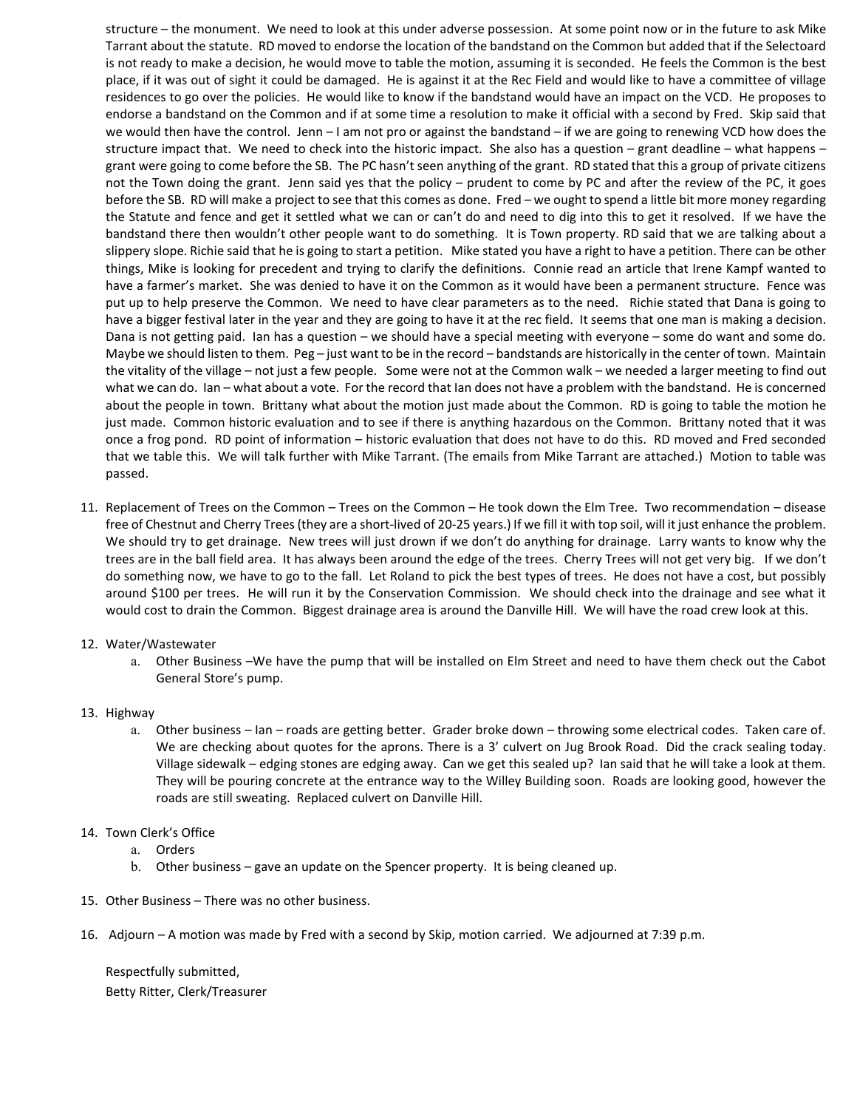structure – the monument. We need to look at this under adverse possession. At some point now or in the future to ask Mike Tarrant about the statute. RD moved to endorse the location of the bandstand on the Common but added that if the Selectoard is not ready to make a decision, he would move to table the motion, assuming it is seconded. He feels the Common is the best place, if it was out of sight it could be damaged. He is against it at the Rec Field and would like to have a committee of village residences to go over the policies. He would like to know if the bandstand would have an impact on the VCD. He proposes to endorse a bandstand on the Common and if at some time a resolution to make it official with a second by Fred. Skip said that we would then have the control. Jenn – I am not pro or against the bandstand – if we are going to renewing VCD how does the structure impact that. We need to check into the historic impact. She also has a question – grant deadline – what happens – grant were going to come before the SB. The PC hasn't seen anything of the grant. RD stated that this a group of private citizens not the Town doing the grant. Jenn said yes that the policy – prudent to come by PC and after the review of the PC, it goes before the SB. RD will make a project to see that this comes as done. Fred – we ought to spend a little bit more money regarding the Statute and fence and get it settled what we can or can't do and need to dig into this to get it resolved. If we have the bandstand there then wouldn't other people want to do something. It is Town property. RD said that we are talking about a slippery slope. Richie said that he is going to start a petition. Mike stated you have a right to have a petition. There can be other things, Mike is looking for precedent and trying to clarify the definitions. Connie read an article that Irene Kampf wanted to have a farmer's market. She was denied to have it on the Common as it would have been a permanent structure. Fence was put up to help preserve the Common. We need to have clear parameters as to the need. Richie stated that Dana is going to have a bigger festival later in the year and they are going to have it at the rec field. It seems that one man is making a decision. Dana is not getting paid. Ian has a question – we should have a special meeting with everyone – some do want and some do. Maybe we should listen to them. Peg – just want to be in the record – bandstands are historically in the center of town. Maintain the vitality of the village – not just a few people. Some were not at the Common walk – we needed a larger meeting to find out what we can do. Ian – what about a vote. For the record that Ian does not have a problem with the bandstand. He is concerned about the people in town. Brittany what about the motion just made about the Common. RD is going to table the motion he just made. Common historic evaluation and to see if there is anything hazardous on the Common. Brittany noted that it was once a frog pond. RD point of information – historic evaluation that does not have to do this. RD moved and Fred seconded that we table this. We will talk further with Mike Tarrant. (The emails from Mike Tarrant are attached.) Motion to table was passed.

- 11. Replacement of Trees on the Common Trees on the Common He took down the Elm Tree. Two recommendation disease free of Chestnut and Cherry Trees (they are a short-lived of 20-25 years.) If we fill it with top soil, will it just enhance the problem. We should try to get drainage. New trees will just drown if we don't do anything for drainage. Larry wants to know why the trees are in the ball field area. It has always been around the edge of the trees. Cherry Trees will not get very big. If we don't do something now, we have to go to the fall. Let Roland to pick the best types of trees. He does not have a cost, but possibly around \$100 per trees. He will run it by the Conservation Commission. We should check into the drainage and see what it would cost to drain the Common. Biggest drainage area is around the Danville Hill. We will have the road crew look at this.
- 12. Water/Wastewater
	- a. Other Business –We have the pump that will be installed on Elm Street and need to have them check out the Cabot General Store's pump.
- 13. Highway
	- a. Other business Ian roads are getting better. Grader broke down throwing some electrical codes. Taken care of. We are checking about quotes for the aprons. There is a 3' culvert on Jug Brook Road. Did the crack sealing today. Village sidewalk – edging stones are edging away. Can we get this sealed up? Ian said that he will take a look at them. They will be pouring concrete at the entrance way to the Willey Building soon. Roads are looking good, however the roads are still sweating. Replaced culvert on Danville Hill.
- 14. Town Clerk's Office
	- a. Orders
	- b. Other business gave an update on the Spencer property. It is being cleaned up.
- 15. Other Business There was no other business.
- 16. Adjourn A motion was made by Fred with a second by Skip, motion carried. We adjourned at 7:39 p.m.

Respectfully submitted, Betty Ritter, Clerk/Treasurer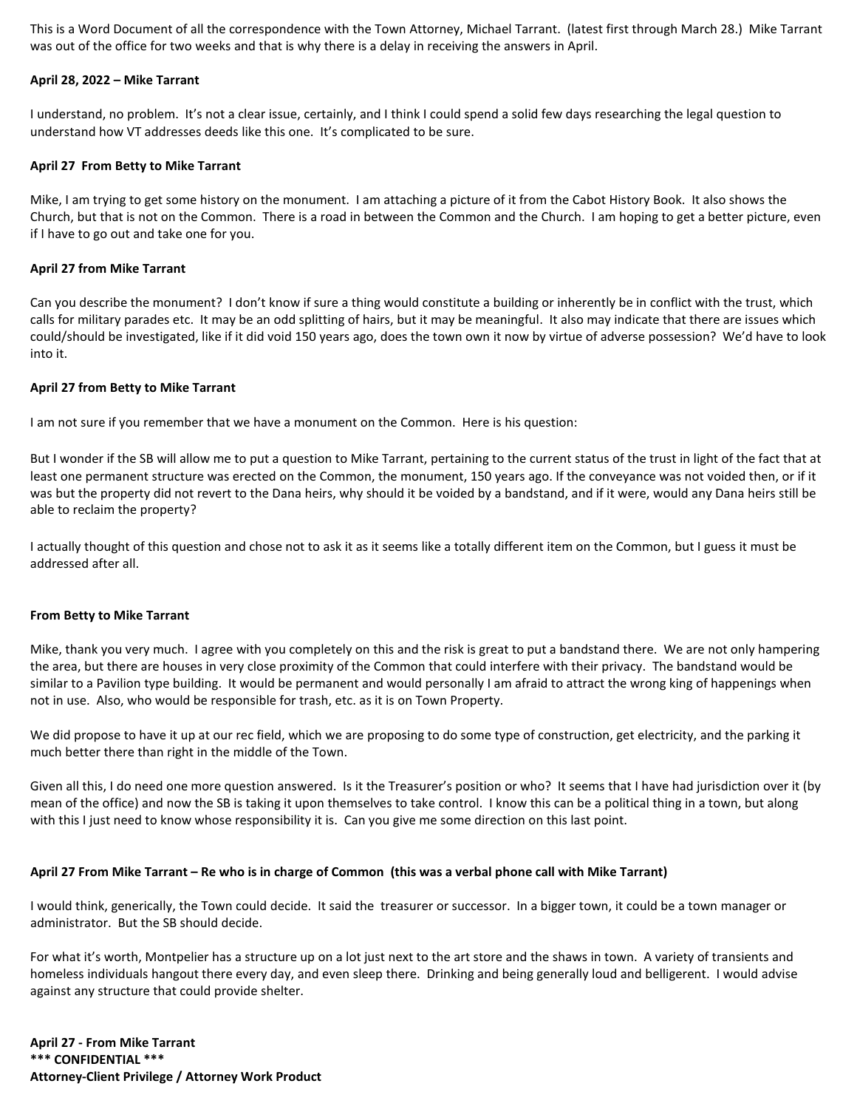This is a Word Document of all the correspondence with the Town Attorney, Michael Tarrant. (latest first through March 28.) Mike Tarrant was out of the office for two weeks and that is why there is a delay in receiving the answers in April.

## **April 28, 2022 – Mike Tarrant**

I understand, no problem. It's not a clear issue, certainly, and I think I could spend a solid few days researching the legal question to understand how VT addresses deeds like this one. It's complicated to be sure.

## **April 27 From Betty to Mike Tarrant**

Mike, I am trying to get some history on the monument. I am attaching a picture of it from the Cabot History Book. It also shows the Church, but that is not on the Common. There is a road in between the Common and the Church. I am hoping to get a better picture, even if I have to go out and take one for you.

### **April 27 from Mike Tarrant**

Can you describe the monument? I don't know if sure a thing would constitute a building or inherently be in conflict with the trust, which calls for military parades etc. It may be an odd splitting of hairs, but it may be meaningful. It also may indicate that there are issues which could/should be investigated, like if it did void 150 years ago, does the town own it now by virtue of adverse possession? We'd have to look into it.

## **April 27 from Betty to Mike Tarrant**

I am not sure if you remember that we have a monument on the Common. Here is his question:

But I wonder if the SB will allow me to put a question to Mike Tarrant, pertaining to the current status of the trust in light of the fact that at least one permanent structure was erected on the Common, the monument, 150 years ago. If the conveyance was not voided then, or if it was but the property did not revert to the Dana heirs, why should it be voided by a bandstand, and if it were, would any Dana heirs still be able to reclaim the property?

I actually thought of this question and chose not to ask it as it seems like a totally different item on the Common, but I guess it must be addressed after all.

#### **From Betty to Mike Tarrant**

Mike, thank you very much. I agree with you completely on this and the risk is great to put a bandstand there. We are not only hampering the area, but there are houses in very close proximity of the Common that could interfere with their privacy. The bandstand would be similar to a Pavilion type building. It would be permanent and would personally I am afraid to attract the wrong king of happenings when not in use. Also, who would be responsible for trash, etc. as it is on Town Property.

We did propose to have it up at our rec field, which we are proposing to do some type of construction, get electricity, and the parking it much better there than right in the middle of the Town.

Given all this, I do need one more question answered. Is it the Treasurer's position or who? It seems that I have had jurisdiction over it (by mean of the office) and now the SB is taking it upon themselves to take control. I know this can be a political thing in a town, but along with this I just need to know whose responsibility it is. Can you give me some direction on this last point.

## **April 27 From Mike Tarrant – Re who is in charge of Common (this was a verbal phone call with Mike Tarrant)**

I would think, generically, the Town could decide. It said the treasurer or successor. In a bigger town, it could be a town manager or administrator. But the SB should decide.

For what it's worth, Montpelier has a structure up on a lot just next to the art store and the shaws in town. A variety of transients and homeless individuals hangout there every day, and even sleep there. Drinking and being generally loud and belligerent. I would advise against any structure that could provide shelter.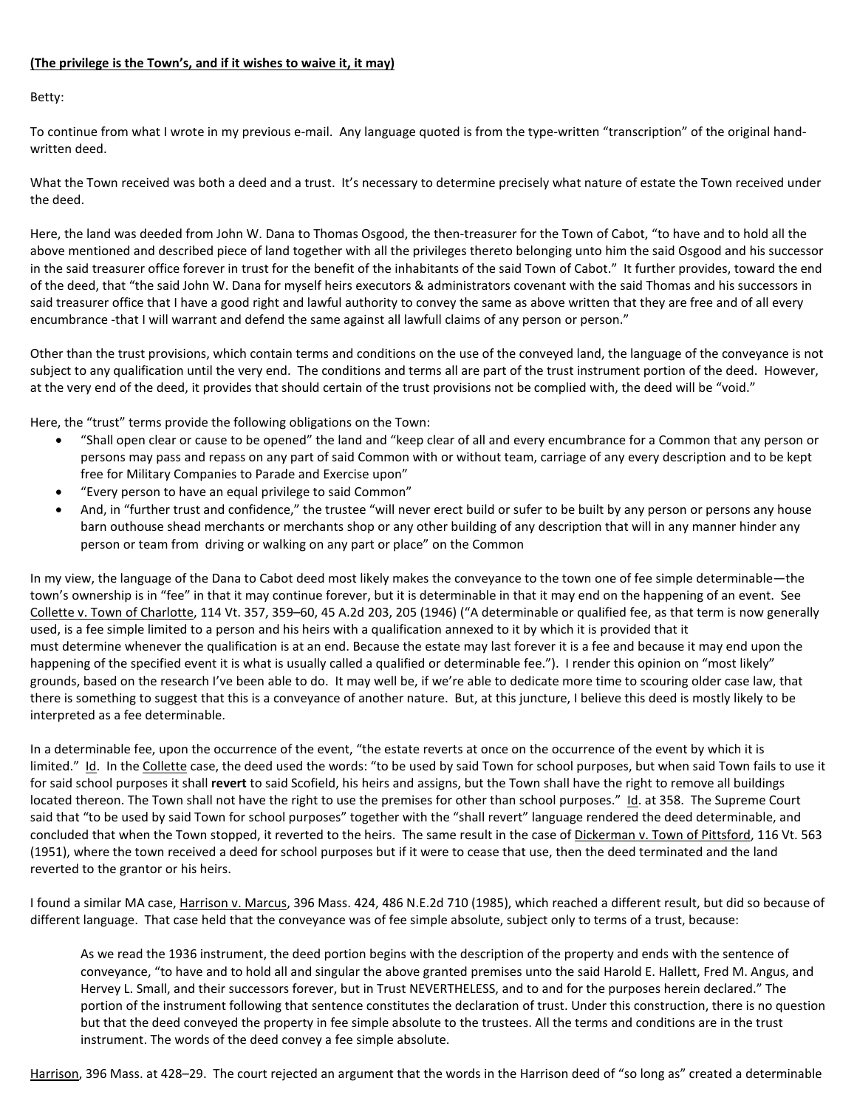# **(The privilege is the Town's, and if it wishes to waive it, it may)**

Betty:

To continue from what I wrote in my previous e-mail. Any language quoted is from the type-written "transcription" of the original handwritten deed.

What the Town received was both a deed and a trust. It's necessary to determine precisely what nature of estate the Town received under the deed.

Here, the land was deeded from John W. Dana to Thomas Osgood, the then-treasurer for the Town of Cabot, "to have and to hold all the above mentioned and described piece of land together with all the privileges thereto belonging unto him the said Osgood and his successor in the said treasurer office forever in trust for the benefit of the inhabitants of the said Town of Cabot." It further provides, toward the end of the deed, that "the said John W. Dana for myself heirs executors & administrators covenant with the said Thomas and his successors in said treasurer office that I have a good right and lawful authority to convey the same as above written that they are free and of all every encumbrance -that I will warrant and defend the same against all lawfull claims of any person or person."

Other than the trust provisions, which contain terms and conditions on the use of the conveyed land, the language of the conveyance is not subject to any qualification until the very end. The conditions and terms all are part of the trust instrument portion of the deed. However, at the very end of the deed, it provides that should certain of the trust provisions not be complied with, the deed will be "void."

Here, the "trust" terms provide the following obligations on the Town:

- "Shall open clear or cause to be opened" the land and "keep clear of all and every encumbrance for a Common that any person or persons may pass and repass on any part of said Common with or without team, carriage of any every description and to be kept free for Military Companies to Parade and Exercise upon"
- "Every person to have an equal privilege to said Common"
- And, in "further trust and confidence," the trustee "will never erect build or sufer to be built by any person or persons any house barn outhouse shead merchants or merchants shop or any other building of any description that will in any manner hinder any person or team from driving or walking on any part or place" on the Common

In my view, the language of the Dana to Cabot deed most likely makes the conveyance to the town one of fee simple determinable—the town's ownership is in "fee" in that it may continue forever, but it is determinable in that it may end on the happening of an event. See Collette v. Town of Charlotte, 114 Vt. 357, 359–60, 45 A.2d 203, 205 (1946) ("A determinable or qualified fee, as that term is now generally used, is a fee simple limited to a person and his heirs with a qualification annexed to it by which it is provided that it must determine whenever the qualification is at an end. Because the estate may last forever it is a fee and because it may end upon the happening of the specified event it is what is usually called a qualified or determinable fee."). I render this opinion on "most likely" grounds, based on the research I've been able to do. It may well be, if we're able to dedicate more time to scouring older case law, that there is something to suggest that this is a conveyance of another nature. But, at this juncture, I believe this deed is mostly likely to be interpreted as a fee determinable.

In a determinable fee, upon the occurrence of the event, "the estate reverts at once on the occurrence of the event by which it is limited." Id. In the Collette case, the deed used the words: "to be used by said Town for school purposes, but when said Town fails to use it for said school purposes it shall **revert** to said Scofield, his heirs and assigns, but the Town shall have the right to remove all buildings located thereon. The Town shall not have the right to use the premises for other than school purposes." Id. at 358. The Supreme Court said that "to be used by said Town for school purposes" together with the "shall revert" language rendered the deed determinable, and concluded that when the Town stopped, it reverted to the heirs. The same result in the case of Dickerman v. Town of Pittsford, 116 Vt. 563 (1951), where the town received a deed for school purposes but if it were to cease that use, then the deed terminated and the land reverted to the grantor or his heirs.

I found a similar MA case, Harrison v. Marcus, 396 Mass. 424, 486 N.E.2d 710 (1985), which reached a different result, but did so because of different language. That case held that the conveyance was of fee simple absolute, subject only to terms of a trust, because:

As we read the 1936 instrument, the deed portion begins with the description of the property and ends with the sentence of conveyance, "to have and to hold all and singular the above granted premises unto the said Harold E. Hallett, Fred M. Angus, and Hervey L. Small, and their successors forever, but in Trust NEVERTHELESS, and to and for the purposes herein declared." The portion of the instrument following that sentence constitutes the declaration of trust. Under this construction, there is no question but that the deed conveyed the property in fee simple absolute to the trustees. All the terms and conditions are in the trust instrument. The words of the deed convey a fee simple absolute.

Harrison, 396 Mass. at 428–29. The court rejected an argument that the words in the Harrison deed of "so long as" created a determinable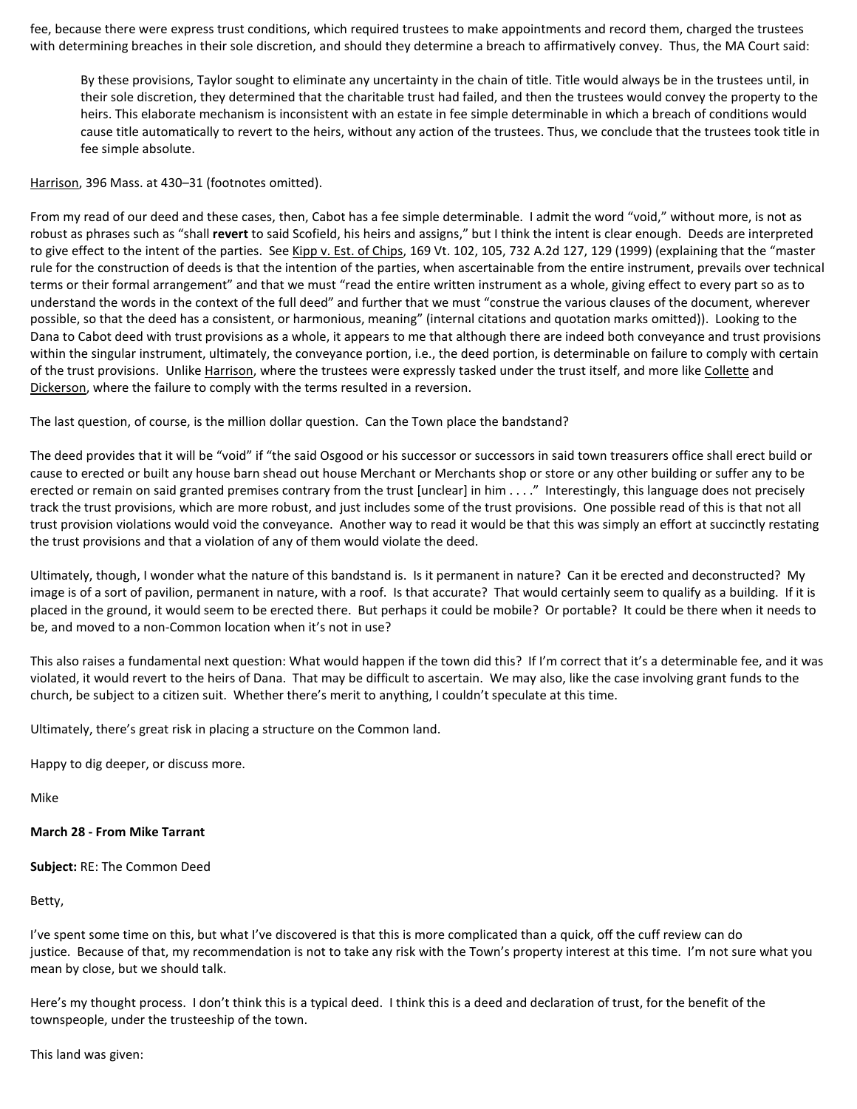fee, because there were express trust conditions, which required trustees to make appointments and record them, charged the trustees with determining breaches in their sole discretion, and should they determine a breach to affirmatively convey. Thus, the MA Court said:

By these provisions, Taylor sought to eliminate any uncertainty in the chain of title. Title would always be in the trustees until, in their sole discretion, they determined that the charitable trust had failed, and then the trustees would convey the property to the heirs. This elaborate mechanism is inconsistent with an estate in fee simple determinable in which a breach of conditions would cause title automatically to revert to the heirs, without any action of the trustees. Thus, we conclude that the trustees took title in fee simple absolute.

Harrison, 396 Mass. at 430–31 (footnotes omitted).

From my read of our deed and these cases, then, Cabot has a fee simple determinable. I admit the word "void," without more, is not as robust as phrases such as "shall **revert** to said Scofield, his heirs and assigns," but I think the intent is clear enough. Deeds are interpreted to give effect to the intent of the parties. See Kipp v. Est. of Chips, 169 Vt. 102, 105, 732 A.2d 127, 129 (1999) (explaining that the "master rule for the construction of deeds is that the intention of the parties, when ascertainable from the entire instrument, prevails over technical terms or their formal arrangement" and that we must "read the entire written instrument as a whole, giving effect to every part so as to understand the words in the context of the full deed" and further that we must "construe the various clauses of the document, wherever possible, so that the deed has a consistent, or harmonious, meaning" (internal citations and quotation marks omitted)). Looking to the Dana to Cabot deed with trust provisions as a whole, it appears to me that although there are indeed both conveyance and trust provisions within the singular instrument, ultimately, the conveyance portion, i.e., the deed portion, is determinable on failure to comply with certain of the trust provisions. Unlike Harrison, where the trustees were expressly tasked under the trust itself, and more like Collette and Dickerson, where the failure to comply with the terms resulted in a reversion.

The last question, of course, is the million dollar question. Can the Town place the bandstand?

The deed provides that it will be "void" if "the said Osgood or his successor or successors in said town treasurers office shall erect build or cause to erected or built any house barn shead out house Merchant or Merchants shop or store or any other building or suffer any to be erected or remain on said granted premises contrary from the trust [unclear] in him . . . ." Interestingly, this language does not precisely track the trust provisions, which are more robust, and just includes some of the trust provisions. One possible read of this is that not all trust provision violations would void the conveyance. Another way to read it would be that this was simply an effort at succinctly restating the trust provisions and that a violation of any of them would violate the deed.

Ultimately, though, I wonder what the nature of this bandstand is. Is it permanent in nature? Can it be erected and deconstructed? My image is of a sort of pavilion, permanent in nature, with a roof. Is that accurate? That would certainly seem to qualify as a building. If it is placed in the ground, it would seem to be erected there. But perhaps it could be mobile? Or portable? It could be there when it needs to be, and moved to a non-Common location when it's not in use?

This also raises a fundamental next question: What would happen if the town did this? If I'm correct that it's a determinable fee, and it was violated, it would revert to the heirs of Dana. That may be difficult to ascertain. We may also, like the case involving grant funds to the church, be subject to a citizen suit. Whether there's merit to anything, I couldn't speculate at this time.

Ultimately, there's great risk in placing a structure on the Common land.

Happy to dig deeper, or discuss more.

Mike

### **March 28 - From Mike Tarrant**

**Subject:** RE: The Common Deed

Betty,

I've spent some time on this, but what I've discovered is that this is more complicated than a quick, off the cuff review can do justice. Because of that, my recommendation is not to take any risk with the Town's property interest at this time. I'm not sure what you mean by close, but we should talk.

Here's my thought process. I don't think this is a typical deed. I think this is a deed and declaration of trust, for the benefit of the townspeople, under the trusteeship of the town.

This land was given: